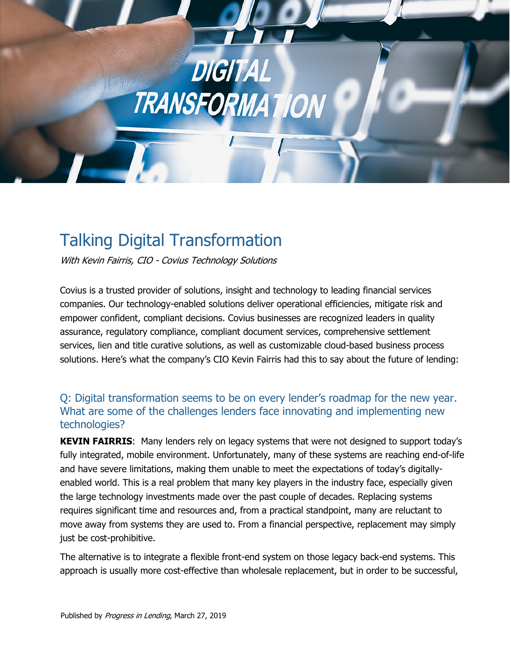

# Talking Digital Transformation

With Kevin Fairris, CIO - Covius Technology Solutions

Covius is a trusted provider of solutions, insight and technology to leading financial services companies. Our technology-enabled solutions deliver operational efficiencies, mitigate risk and empower confident, compliant decisions. Covius businesses are recognized leaders in quality assurance, regulatory compliance, compliant document services, comprehensive settlement services, lien and title curative solutions, as well as customizable cloud-based business process solutions. Here's what the company's CIO Kevin Fairris had this to say about the future of lending:

# Q: Digital transformation seems to be on every lender's roadmap for the new year. What are some of the challenges lenders face innovating and implementing new technologies?

**KEVIN FAIRRIS**: Many lenders rely on legacy systems that were not designed to support today's fully integrated, mobile environment. Unfortunately, many of these systems are reaching end-of-life and have severe limitations, making them unable to meet the expectations of today's digitallyenabled world. This is a real problem that many key players in the industry face, especially given the large technology investments made over the past couple of decades. Replacing systems requires significant time and resources and, from a practical standpoint, many are reluctant to move away from systems they are used to. From a financial perspective, replacement may simply just be cost-prohibitive.

The alternative is to integrate a flexible front-end system on those legacy back-end systems. This approach is usually more cost-effective than wholesale replacement, but in order to be successful,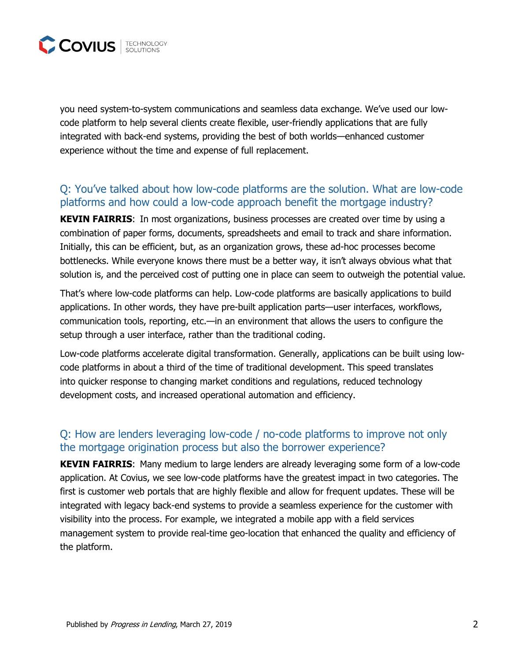

you need system-to-system communications and seamless data exchange. We've used our lowcode platform to help several clients create flexible, user-friendly applications that are fully integrated with back-end systems, providing the best of both worlds—enhanced customer experience without the time and expense of full replacement.

#### Q: You've talked about how low-code platforms are the solution. What are low-code platforms and how could a low-code approach benefit the mortgage industry?

**KEVIN FAIRRIS**:In most organizations, business processes are created over time by using a combination of paper forms, documents, spreadsheets and email to track and share information. Initially, this can be efficient, but, as an organization grows, these ad-hoc processes become bottlenecks. While everyone knows there must be a better way, it isn't always obvious what that solution is, and the perceived cost of putting one in place can seem to outweigh the potential value.

That's where low-code platforms can help. Low-code platforms are basically applications to build applications. In other words, they have pre-built application parts—user interfaces, workflows, communication tools, reporting, etc.—in an environment that allows the users to configure the setup through a user interface, rather than the traditional coding.

Low-code platforms accelerate digital transformation. Generally, applications can be built using lowcode platforms in about a third of the time of traditional development. This speed translates into quicker response to changing market conditions and regulations, reduced technology development costs, and increased operational automation and efficiency.

#### Q: How are lenders leveraging low-code / no-code platforms to improve not only the mortgage origination process but also the borrower experience?

**KEVIN FAIRRIS**:Many medium to large lenders are already leveraging some form of a low-code application. At Covius, we see low-code platforms have the greatest impact in two categories. The first is customer web portals that are highly flexible and allow for frequent updates. These will be integrated with legacy back-end systems to provide a seamless experience for the customer with visibility into the process. For example, we integrated a mobile app with a field services management system to provide real-time geo-location that enhanced the quality and efficiency of the platform.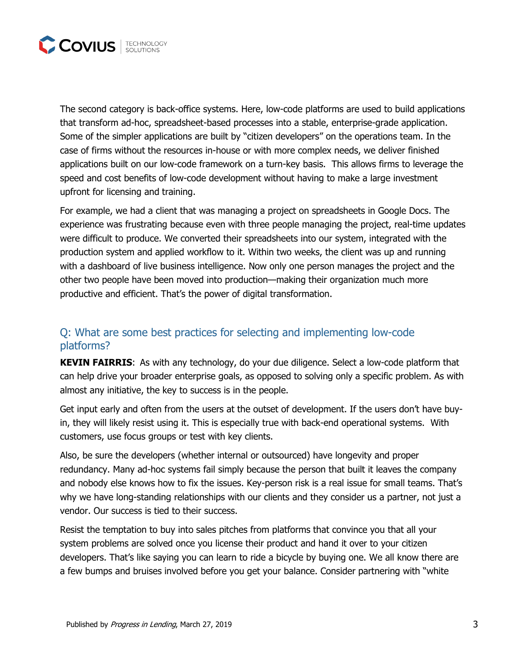

The second category is back-office systems. Here, low-code platforms are used to build applications that transform ad-hoc, spreadsheet-based processes into a stable, enterprise-grade application. Some of the simpler applications are built by "citizen developers" on the operations team. In the case of firms without the resources in-house or with more complex needs, we deliver finished applications built on our low-code framework on a turn-key basis. This allows firms to leverage the speed and cost benefits of low-code development without having to make a large investment upfront for licensing and training.

For example, we had a client that was managing a project on spreadsheets in Google Docs. The experience was frustrating because even with three people managing the project, real-time updates were difficult to produce. We converted their spreadsheets into our system, integrated with the production system and applied workflow to it. Within two weeks, the client was up and running with a dashboard of live business intelligence. Now only one person manages the project and the other two people have been moved into production—making their organization much more productive and efficient. That's the power of digital transformation.

## Q: What are some best practices for selecting and implementing low-code platforms?

**KEVIN FAIRRIS**:As with any technology, do your due diligence. Select a low-code platform that can help drive your broader enterprise goals, as opposed to solving only a specific problem. As with almost any initiative, the key to success is in the people.

Get input early and often from the users at the outset of development. If the users don't have buyin, they will likely resist using it. This is especially true with back-end operational systems. With customers, use focus groups or test with key clients.

Also, be sure the developers (whether internal or outsourced) have longevity and proper redundancy. Many ad-hoc systems fail simply because the person that built it leaves the company and nobody else knows how to fix the issues. Key-person risk is a real issue for small teams. That's why we have long-standing relationships with our clients and they consider us a partner, not just a vendor. Our success is tied to their success.

Resist the temptation to buy into sales pitches from platforms that convince you that all your system problems are solved once you license their product and hand it over to your citizen developers. That's like saying you can learn to ride a bicycle by buying one. We all know there are a few bumps and bruises involved before you get your balance. Consider partnering with "white